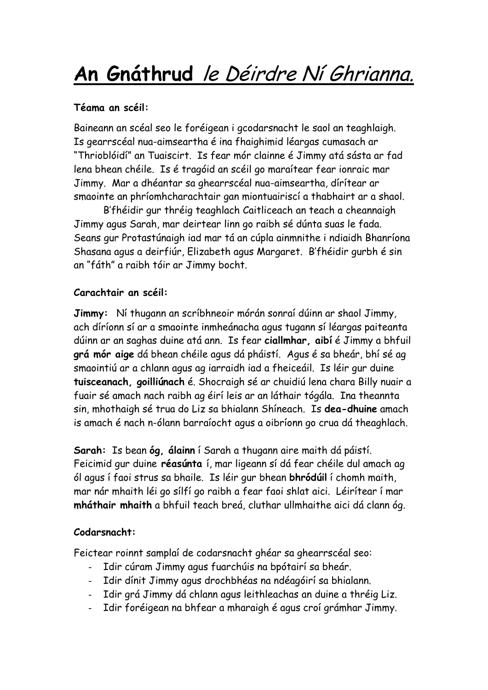# **An Gnáthrud** le Déirdre Ní Ghrianna.

### **Téama an scéil:**

Baineann an scéal seo le foréigean i gcodarsnacht le saol an teaghlaigh. Is gearrscéal nua-aimseartha é ina fhaighimid léargas cumasach ar "Thrioblóidí" an Tuaiscirt. Is fear mór clainne é Jimmy atá sásta ar fad lena bhean chéile. Is é tragóid an scéil go maraítear fear ionraic mar Jimmy. Mar a dhéantar sa ghearrscéal nua-aimseartha, dírítear ar smaointe an phríomhcharachtair gan miontuairiscí a thabhairt ar a shaol.

B'fhéidir gur thréig teaghlach Caitliceach an teach a cheannaigh Jimmy agus Sarah, mar deirtear linn go raibh sé dúnta suas le fada. Seans gur Protastúnaigh iad mar tá an cúpla ainmnithe i ndiaidh Bhanríona Shasana agus a deirfiúr, Elizabeth agus Margaret. B'fhéidir gurbh é sin an "fáth" a raibh tóir ar Jimmy bocht.

### **Carachtair an scéil:**

**Jimmy:** Ní thugann an scríbhneoir mórán sonraí dúinn ar shaol Jimmy, ach díríonn sí ar a smaointe inmheánacha agus tugann sí léargas paiteanta dúinn ar an saghas duine atá ann. Is fear **ciallmhar, aibí** é Jimmy a bhfuil **grá mór aige** dá bhean chéile agus dá pháistí. Agus é sa bheár, bhí sé ag smaointiú ar a chlann agus ag iarraidh iad a fheiceáil. Is léir gur duine **tuisceanach, goilliúnach** é. Shocraigh sé ar chuidiú lena chara Billy nuair a fuair sé amach nach raibh ag éirí leis ar an láthair tógála. Ina theannta sin, mhothaigh sé trua do Liz sa bhialann Shíneach. Is **dea-dhuine** amach is amach é nach n-ólann barraíocht agus a oibríonn go crua dá theaghlach.

**Sarah:** Is bean **óg, álainn** í Sarah a thugann aire maith dá páistí. Feicimid gur duine **réasúnta** í, mar ligeann sí dá fear chéile dul amach ag ól agus í faoi strus sa bhaile. Is léir gur bhean **bhródúil** í chomh maith, mar nár mhaith léi go sílfí go raibh a fear faoi shlat aici. Léirítear í mar **mháthair mhaith** a bhfuil teach breá, cluthar ullmhaithe aici dá clann óg.

## **Codarsnacht:**

Feictear roinnt samplaí de codarsnacht ghéar sa ghearrscéal seo:

- Idir cúram Jimmy agus fuarchúis na bpótairí sa bheár.
- Idir dínit Jimmy agus drochbhéas na ndéagóirí sa bhialann.
- Idir grá Jimmy dá chlann agus leithleachas an duine a thréig Liz.
- Idir foréigean na bhfear a mharaigh é agus croí grámhar Jimmy.